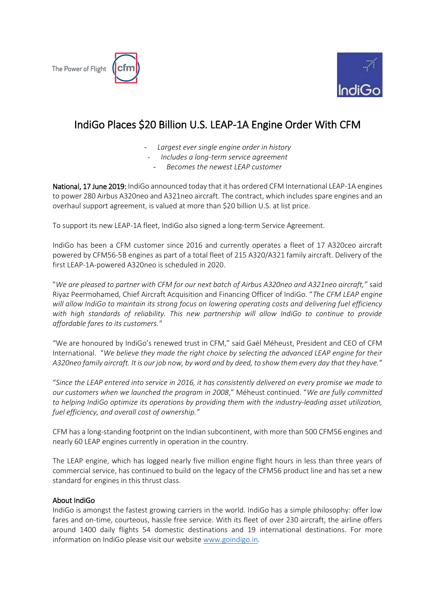



## IndiGo Places \$20 Billion U.S. LEAP-1A Engine Order With CFM

- *Largest ever single engine order in history*
- *Includes a long-term service agreement*
	- *Becomes the newest LEAP customer*

National, 17 June 2019: IndiGo announced today that it has ordered CFM International LEAP-1A engines to power 280 Airbus A320neo and A321neo aircraft. The contract, which includes spare engines and an overhaul support agreement, is valued at more than \$20 billion U.S. at list price.

To support its new LEAP-1A fleet, IndiGo also signed a long-term Service Agreement.

IndiGo has been a CFM customer since 2016 and currently operates a fleet of 17 A320ceo aircraft powered by CFM56-5B engines as part of a total fleet of 215 A320/A321 family aircraft. Delivery of the first LEAP-1A-powered A320neo is scheduled in 2020.

"*We are pleased to partner with CFM for our next batch of Airbus A320neo and A321neo aircraft,"* said Riyaz Peermohamed, Chief Aircraft Acquisition and Financing Officer of IndiGo. "*The CFM LEAP engine will allow IndiGo to maintain its strong focus on lowering operating costs and delivering fuel efficiency with high standards of reliability. This new partnership will allow IndiGo to continue to provide affordable fares to its customers."*

"We are honoured by IndiGo's renewed trust in CFM," said Gaël Méheust, President and CEO of CFM International. "*We believe they made the right choice by selecting the advanced LEAP engine for their A320neo family aircraft. It is our job now, by word and by deed, to show them every day that they have."*

"*Since the LEAP entered into service in 2016, it has consistently delivered on every promise we made to our customers when we launched the program in 2008*," Méheust continued. "*We are fully committed to helping IndiGo optimize its operations by providing them with the industry-leading asset utilization, fuel efficiency, and overall cost of ownership."*

CFM has a long-standing footprint on the Indian subcontinent, with more than 500 CFM56 engines and nearly 60 LEAP engines currently in operation in the country.

The LEAP engine, which has logged nearly five million engine flight hours in less than three years of commercial service, has continued to build on the legacy of the CFM56 product line and has set a new standard for engines in this thrust class.

## About IndiGo

IndiGo is amongst the fastest growing carriers in the world. IndiGo has a simple philosophy: offer low fares and on-time, courteous, hassle free service. With its fleet of over 230 aircraft, the airline offers around 1400 daily flights 54 domestic destinations and 19 international destinations. For more information on IndiGo please visit our website [www.goindigo.in.](http://www.goindigo.in/)